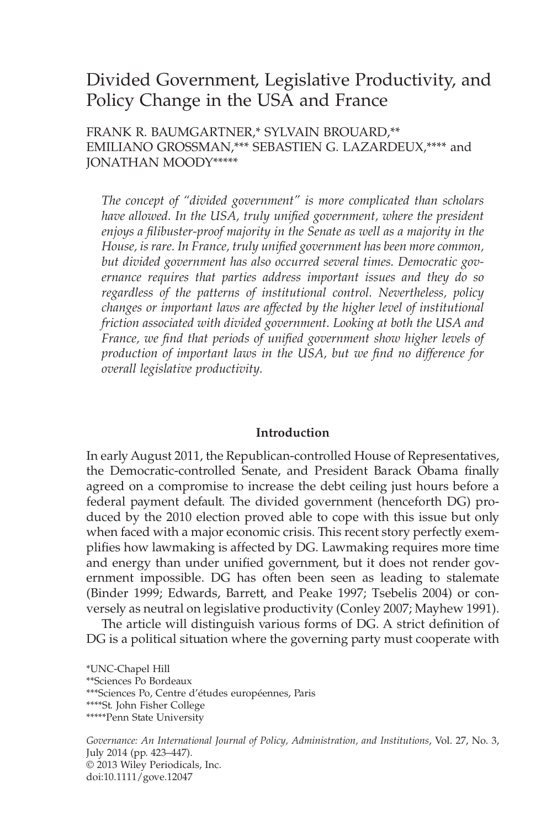# Divided Government, Legislative Productivity, and Policy Change in the USA and France

FRANK R. BAUMGARTNER,\* SYLVAIN BROUARD,\*\* EMILIANO GROSSMAN,\*\*\* SEBASTIEN G. LAZARDEUX,\*\*\*\* and JONATHAN MOODY\*\*\*\*\*

*The concept of "divided government" is more complicated than scholars have allowed. In the USA, truly unified government, where the president enjoys a filibuster-proof majority in the Senate as well as a majority in the House, is rare. In France, truly unified government has been more common, but divided government has also occurred several times. Democratic governance requires that parties address important issues and they do so regardless of the patterns of institutional control. Nevertheless, policy changes or important laws are affected by the higher level of institutional friction associated with divided government. Looking at both the USA and France, we find that periods of unified government show higher levels of production of important laws in the USA, but we find no difference for overall legislative productivity.*

## **Introduction**

In early August 2011, the Republican-controlled House of Representatives, the Democratic-controlled Senate, and President Barack Obama finally agreed on a compromise to increase the debt ceiling just hours before a federal payment default. The divided government (henceforth DG) produced by the 2010 election proved able to cope with this issue but only when faced with a major economic crisis. This recent story perfectly exemplifies how lawmaking is affected by DG. Lawmaking requires more time and energy than under unified government, but it does not render government impossible. DG has often been seen as leading to stalemate (Binder 1999; Edwards, Barrett, and Peake 1997; Tsebelis 2004) or conversely as neutral on legislative productivity (Conley 2007; Mayhew 1991).

The article will distinguish various forms of DG. A strict definition of DG is a political situation where the governing party must cooperate with

\*UNC-Chapel Hill \*\*Sciences Po Bordeaux \*\*\*Sciences Po, Centre d'études européennes, Paris \*\*\*\*St. John Fisher College \*\*\*\*\*Penn State University

*Governance: An International Journal of Policy, Administration, and Institutions*, Vol. 27, No. 3, July 2014 (pp. 423–447). © 2013 Wiley Periodicals, Inc. doi:10.1111/gove.12047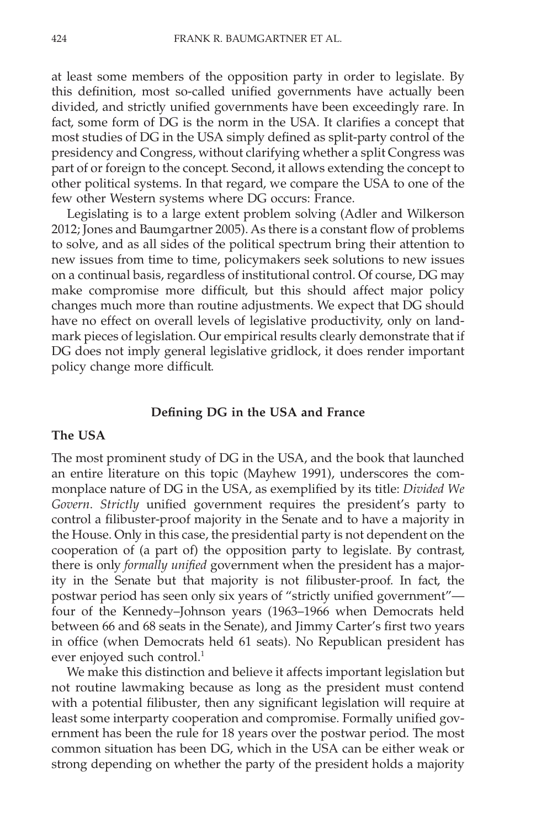at least some members of the opposition party in order to legislate. By this definition, most so-called unified governments have actually been divided, and strictly unified governments have been exceedingly rare. In fact, some form of DG is the norm in the USA. It clarifies a concept that most studies of DG in the USA simply defined as split-party control of the presidency and Congress, without clarifying whether a split Congress was part of or foreign to the concept. Second, it allows extending the concept to other political systems. In that regard, we compare the USA to one of the few other Western systems where DG occurs: France.

Legislating is to a large extent problem solving (Adler and Wilkerson 2012; Jones and Baumgartner 2005). As there is a constant flow of problems to solve, and as all sides of the political spectrum bring their attention to new issues from time to time, policymakers seek solutions to new issues on a continual basis, regardless of institutional control. Of course, DG may make compromise more difficult, but this should affect major policy changes much more than routine adjustments. We expect that DG should have no effect on overall levels of legislative productivity, only on landmark pieces of legislation. Our empirical results clearly demonstrate that if DG does not imply general legislative gridlock, it does render important policy change more difficult.

#### **Defining DG in the USA and France**

# **The USA**

The most prominent study of DG in the USA, and the book that launched an entire literature on this topic (Mayhew 1991), underscores the commonplace nature of DG in the USA, as exemplified by its title: *Divided We Govern*. *Strictly* unified government requires the president's party to control a filibuster-proof majority in the Senate and to have a majority in the House. Only in this case, the presidential party is not dependent on the cooperation of (a part of) the opposition party to legislate. By contrast, there is only *formally unified* government when the president has a majority in the Senate but that majority is not filibuster-proof. In fact, the postwar period has seen only six years of "strictly unified government" four of the Kennedy–Johnson years (1963–1966 when Democrats held between 66 and 68 seats in the Senate), and Jimmy Carter's first two years in office (when Democrats held 61 seats). No Republican president has ever enjoyed such control.<sup>1</sup>

We make this distinction and believe it affects important legislation but not routine lawmaking because as long as the president must contend with a potential filibuster, then any significant legislation will require at least some interparty cooperation and compromise. Formally unified government has been the rule for 18 years over the postwar period. The most common situation has been DG, which in the USA can be either weak or strong depending on whether the party of the president holds a majority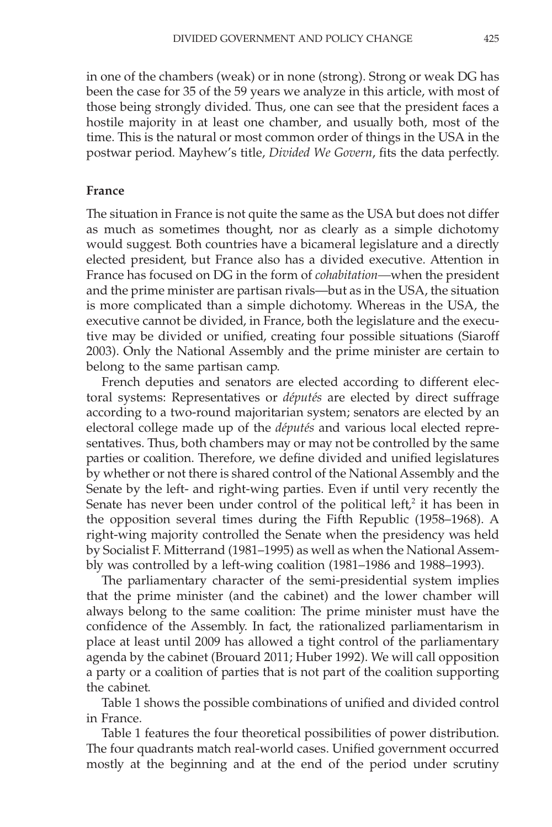in one of the chambers (weak) or in none (strong). Strong or weak DG has been the case for 35 of the 59 years we analyze in this article, with most of those being strongly divided. Thus, one can see that the president faces a hostile majority in at least one chamber, and usually both, most of the time. This is the natural or most common order of things in the USA in the postwar period. Mayhew's title, *Divided We Govern*, fits the data perfectly.

#### **France**

The situation in France is not quite the same as the USA but does not differ as much as sometimes thought, nor as clearly as a simple dichotomy would suggest. Both countries have a bicameral legislature and a directly elected president, but France also has a divided executive. Attention in France has focused on DG in the form of *cohabitation—*when the president and the prime minister are partisan rivals—but as in the USA, the situation is more complicated than a simple dichotomy. Whereas in the USA, the executive cannot be divided, in France, both the legislature and the executive may be divided or unified, creating four possible situations (Siaroff 2003). Only the National Assembly and the prime minister are certain to belong to the same partisan camp.

French deputies and senators are elected according to different electoral systems: Representatives or *députés* are elected by direct suffrage according to a two-round majoritarian system; senators are elected by an electoral college made up of the *députés* and various local elected representatives. Thus, both chambers may or may not be controlled by the same parties or coalition. Therefore, we define divided and unified legislatures by whether or not there is shared control of the National Assembly and the Senate by the left- and right-wing parties. Even if until very recently the Senate has never been under control of the political left, $\lambda$  it has been in the opposition several times during the Fifth Republic (1958–1968). A right-wing majority controlled the Senate when the presidency was held by Socialist F. Mitterrand (1981–1995) as well as when the National Assembly was controlled by a left-wing coalition (1981–1986 and 1988–1993).

The parliamentary character of the semi-presidential system implies that the prime minister (and the cabinet) and the lower chamber will always belong to the same coalition: The prime minister must have the confidence of the Assembly. In fact, the rationalized parliamentarism in place at least until 2009 has allowed a tight control of the parliamentary agenda by the cabinet (Brouard 2011; Huber 1992). We will call opposition a party or a coalition of parties that is not part of the coalition supporting the cabinet.

Table 1 shows the possible combinations of unified and divided control in France.

Table 1 features the four theoretical possibilities of power distribution. The four quadrants match real-world cases. Unified government occurred mostly at the beginning and at the end of the period under scrutiny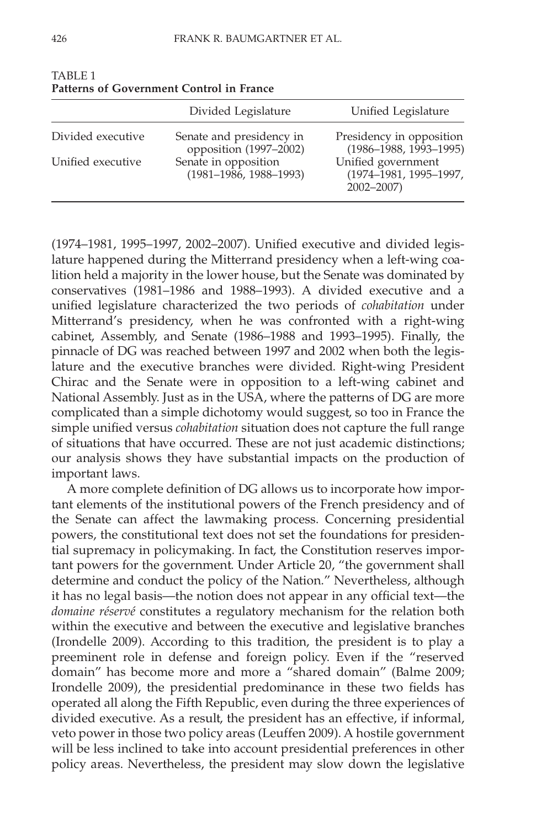|                   | Divided Legislature                                  | Unified Legislature                                           |
|-------------------|------------------------------------------------------|---------------------------------------------------------------|
| Divided executive | Senate and presidency in<br>opposition (1997-2002)   | Presidency in opposition<br>$(1986 - 1988, 1993 - 1995)$      |
| Unified executive | Senate in opposition<br>$(1981 - 1986, 1988 - 1993)$ | Unified government<br>(1974-1981, 1995-1997,<br>$2002 - 2007$ |

TABLE 1 **Patterns of Government Control in France**

(1974–1981, 1995–1997, 2002–2007). Unified executive and divided legislature happened during the Mitterrand presidency when a left-wing coalition held a majority in the lower house, but the Senate was dominated by conservatives (1981–1986 and 1988–1993). A divided executive and a unified legislature characterized the two periods of *cohabitation* under Mitterrand's presidency, when he was confronted with a right-wing cabinet, Assembly, and Senate (1986–1988 and 1993–1995). Finally, the pinnacle of DG was reached between 1997 and 2002 when both the legislature and the executive branches were divided. Right-wing President Chirac and the Senate were in opposition to a left-wing cabinet and National Assembly. Just as in the USA, where the patterns of DG are more complicated than a simple dichotomy would suggest, so too in France the simple unified versus *cohabitation* situation does not capture the full range of situations that have occurred. These are not just academic distinctions; our analysis shows they have substantial impacts on the production of important laws.

A more complete definition of DG allows us to incorporate how important elements of the institutional powers of the French presidency and of the Senate can affect the lawmaking process. Concerning presidential powers, the constitutional text does not set the foundations for presidential supremacy in policymaking. In fact, the Constitution reserves important powers for the government. Under Article 20, "the government shall determine and conduct the policy of the Nation." Nevertheless, although it has no legal basis—the notion does not appear in any official text—the *domaine réservé* constitutes a regulatory mechanism for the relation both within the executive and between the executive and legislative branches (Irondelle 2009). According to this tradition, the president is to play a preeminent role in defense and foreign policy. Even if the "reserved domain" has become more and more a "shared domain" (Balme 2009; Irondelle 2009), the presidential predominance in these two fields has operated all along the Fifth Republic, even during the three experiences of divided executive. As a result, the president has an effective, if informal, veto power in those two policy areas (Leuffen 2009). A hostile government will be less inclined to take into account presidential preferences in other policy areas. Nevertheless, the president may slow down the legislative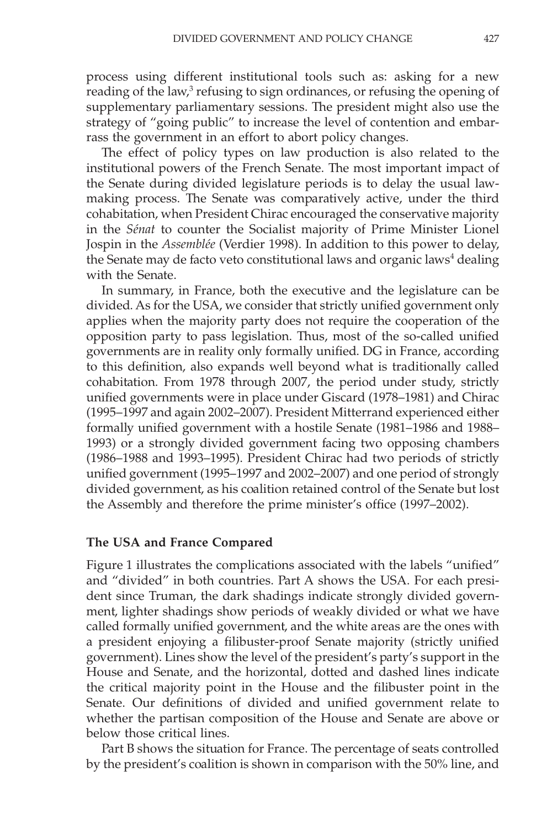process using different institutional tools such as: asking for a new reading of the law,<sup>3</sup> refusing to sign ordinances, or refusing the opening of supplementary parliamentary sessions. The president might also use the strategy of "going public" to increase the level of contention and embarrass the government in an effort to abort policy changes.

The effect of policy types on law production is also related to the institutional powers of the French Senate. The most important impact of the Senate during divided legislature periods is to delay the usual lawmaking process. The Senate was comparatively active, under the third cohabitation, when President Chirac encouraged the conservative majority in the *Sénat* to counter the Socialist majority of Prime Minister Lionel Jospin in the *Assemblée* (Verdier 1998). In addition to this power to delay, the Senate may de facto veto constitutional laws and organic laws<sup>4</sup> dealing with the Senate.

In summary, in France, both the executive and the legislature can be divided. As for the USA, we consider that strictly unified government only applies when the majority party does not require the cooperation of the opposition party to pass legislation. Thus, most of the so-called unified governments are in reality only formally unified. DG in France, according to this definition, also expands well beyond what is traditionally called cohabitation. From 1978 through 2007, the period under study, strictly unified governments were in place under Giscard (1978–1981) and Chirac (1995–1997 and again 2002–2007). President Mitterrand experienced either formally unified government with a hostile Senate (1981–1986 and 1988– 1993) or a strongly divided government facing two opposing chambers (1986–1988 and 1993–1995). President Chirac had two periods of strictly unified government (1995–1997 and 2002–2007) and one period of strongly divided government, as his coalition retained control of the Senate but lost the Assembly and therefore the prime minister's office (1997–2002).

# **The USA and France Compared**

Figure 1 illustrates the complications associated with the labels "unified" and "divided" in both countries. Part A shows the USA. For each president since Truman, the dark shadings indicate strongly divided government, lighter shadings show periods of weakly divided or what we have called formally unified government, and the white areas are the ones with a president enjoying a filibuster-proof Senate majority (strictly unified government). Lines show the level of the president's party's support in the House and Senate, and the horizontal, dotted and dashed lines indicate the critical majority point in the House and the filibuster point in the Senate. Our definitions of divided and unified government relate to whether the partisan composition of the House and Senate are above or below those critical lines.

Part B shows the situation for France. The percentage of seats controlled by the president's coalition is shown in comparison with the 50% line, and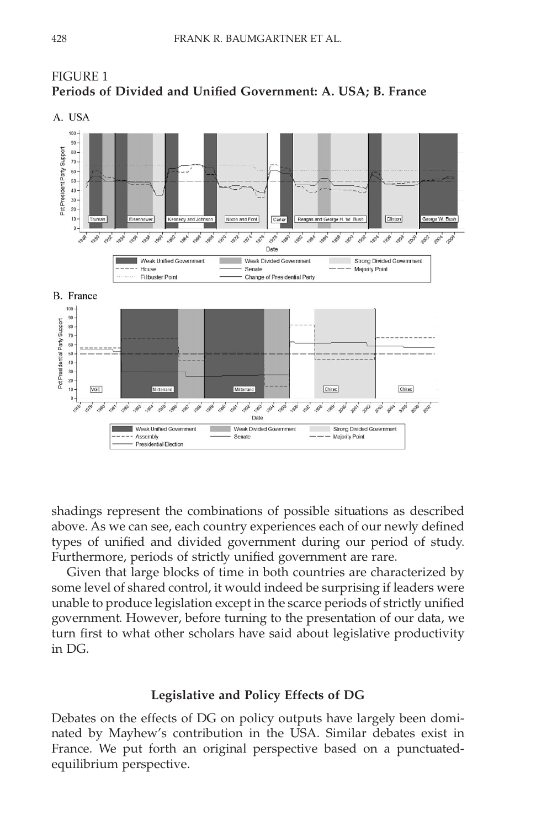



shadings represent the combinations of possible situations as described above. As we can see, each country experiences each of our newly defined types of unified and divided government during our period of study. Furthermore, periods of strictly unified government are rare.

Given that large blocks of time in both countries are characterized by some level of shared control, it would indeed be surprising if leaders were unable to produce legislation except in the scarce periods of strictly unified government. However, before turning to the presentation of our data, we turn first to what other scholars have said about legislative productivity in DG.

# **Legislative and Policy Effects of DG**

Debates on the effects of DG on policy outputs have largely been dominated by Mayhew's contribution in the USA. Similar debates exist in France. We put forth an original perspective based on a punctuatedequilibrium perspective.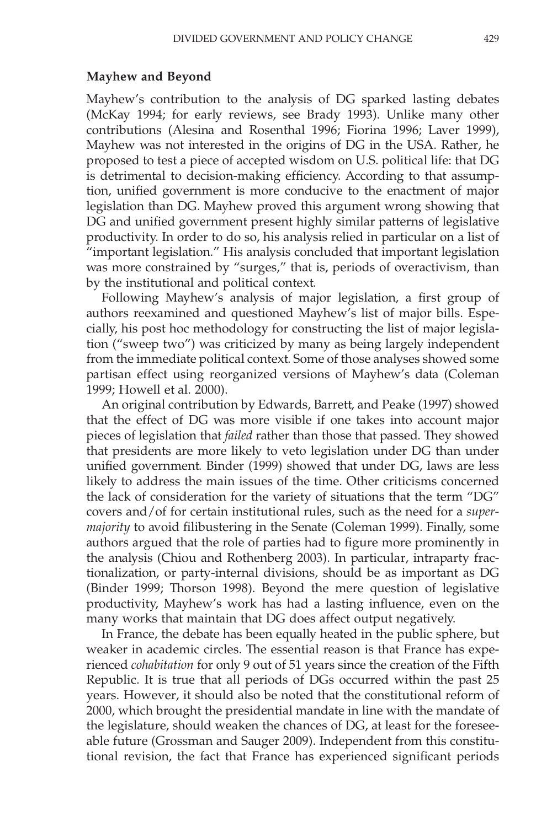#### **Mayhew and Beyond**

Mayhew's contribution to the analysis of DG sparked lasting debates (McKay 1994; for early reviews, see Brady 1993). Unlike many other contributions (Alesina and Rosenthal 1996; Fiorina 1996; Laver 1999), Mayhew was not interested in the origins of DG in the USA. Rather, he proposed to test a piece of accepted wisdom on U.S. political life: that DG is detrimental to decision-making efficiency. According to that assumption, unified government is more conducive to the enactment of major legislation than DG. Mayhew proved this argument wrong showing that DG and unified government present highly similar patterns of legislative productivity. In order to do so, his analysis relied in particular on a list of "important legislation." His analysis concluded that important legislation was more constrained by "surges," that is, periods of overactivism, than by the institutional and political context.

Following Mayhew's analysis of major legislation, a first group of authors reexamined and questioned Mayhew's list of major bills. Especially, his post hoc methodology for constructing the list of major legislation ("sweep two") was criticized by many as being largely independent from the immediate political context. Some of those analyses showed some partisan effect using reorganized versions of Mayhew's data (Coleman 1999; Howell et al. 2000).

An original contribution by Edwards, Barrett, and Peake (1997) showed that the effect of DG was more visible if one takes into account major pieces of legislation that *failed* rather than those that passed. They showed that presidents are more likely to veto legislation under DG than under unified government. Binder (1999) showed that under DG, laws are less likely to address the main issues of the time. Other criticisms concerned the lack of consideration for the variety of situations that the term "DG" covers and/of for certain institutional rules, such as the need for a *supermajority* to avoid filibustering in the Senate (Coleman 1999). Finally, some authors argued that the role of parties had to figure more prominently in the analysis (Chiou and Rothenberg 2003). In particular, intraparty fractionalization, or party-internal divisions, should be as important as DG (Binder 1999; Thorson 1998). Beyond the mere question of legislative productivity, Mayhew's work has had a lasting influence, even on the many works that maintain that DG does affect output negatively.

In France, the debate has been equally heated in the public sphere, but weaker in academic circles. The essential reason is that France has experienced *cohabitation* for only 9 out of 51 years since the creation of the Fifth Republic. It is true that all periods of DGs occurred within the past 25 years. However, it should also be noted that the constitutional reform of 2000, which brought the presidential mandate in line with the mandate of the legislature, should weaken the chances of DG, at least for the foreseeable future (Grossman and Sauger 2009). Independent from this constitutional revision, the fact that France has experienced significant periods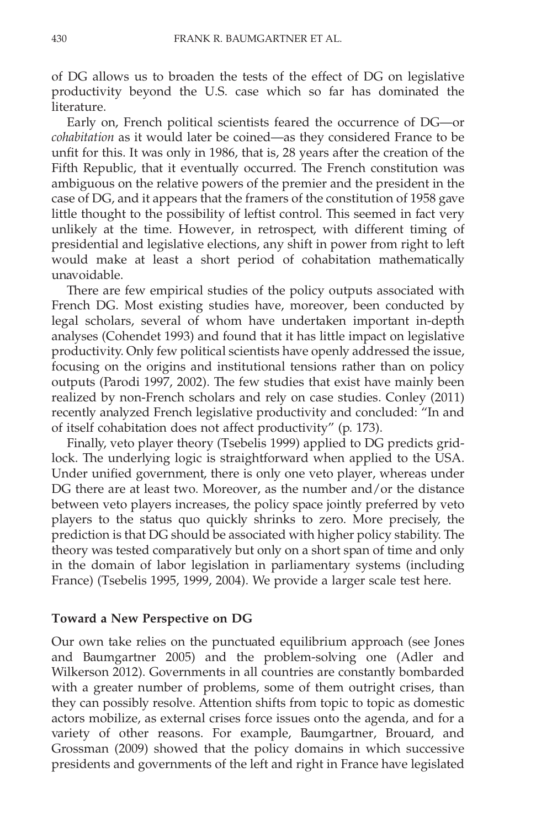of DG allows us to broaden the tests of the effect of DG on legislative productivity beyond the U.S. case which so far has dominated the literature.

Early on, French political scientists feared the occurrence of DG—or *cohabitation* as it would later be coined—as they considered France to be unfit for this. It was only in 1986, that is, 28 years after the creation of the Fifth Republic, that it eventually occurred. The French constitution was ambiguous on the relative powers of the premier and the president in the case of DG, and it appears that the framers of the constitution of 1958 gave little thought to the possibility of leftist control. This seemed in fact very unlikely at the time. However, in retrospect, with different timing of presidential and legislative elections, any shift in power from right to left would make at least a short period of cohabitation mathematically unavoidable.

There are few empirical studies of the policy outputs associated with French DG. Most existing studies have, moreover, been conducted by legal scholars, several of whom have undertaken important in-depth analyses (Cohendet 1993) and found that it has little impact on legislative productivity. Only few political scientists have openly addressed the issue, focusing on the origins and institutional tensions rather than on policy outputs (Parodi 1997, 2002). The few studies that exist have mainly been realized by non-French scholars and rely on case studies. Conley (2011) recently analyzed French legislative productivity and concluded: "In and of itself cohabitation does not affect productivity" (p. 173).

Finally, veto player theory (Tsebelis 1999) applied to DG predicts gridlock. The underlying logic is straightforward when applied to the USA. Under unified government, there is only one veto player, whereas under DG there are at least two. Moreover, as the number and/or the distance between veto players increases, the policy space jointly preferred by veto players to the status quo quickly shrinks to zero. More precisely, the prediction is that DG should be associated with higher policy stability. The theory was tested comparatively but only on a short span of time and only in the domain of labor legislation in parliamentary systems (including France) (Tsebelis 1995, 1999, 2004). We provide a larger scale test here.

#### **Toward a New Perspective on DG**

Our own take relies on the punctuated equilibrium approach (see Jones and Baumgartner 2005) and the problem-solving one (Adler and Wilkerson 2012). Governments in all countries are constantly bombarded with a greater number of problems, some of them outright crises, than they can possibly resolve. Attention shifts from topic to topic as domestic actors mobilize, as external crises force issues onto the agenda, and for a variety of other reasons. For example, Baumgartner, Brouard, and Grossman (2009) showed that the policy domains in which successive presidents and governments of the left and right in France have legislated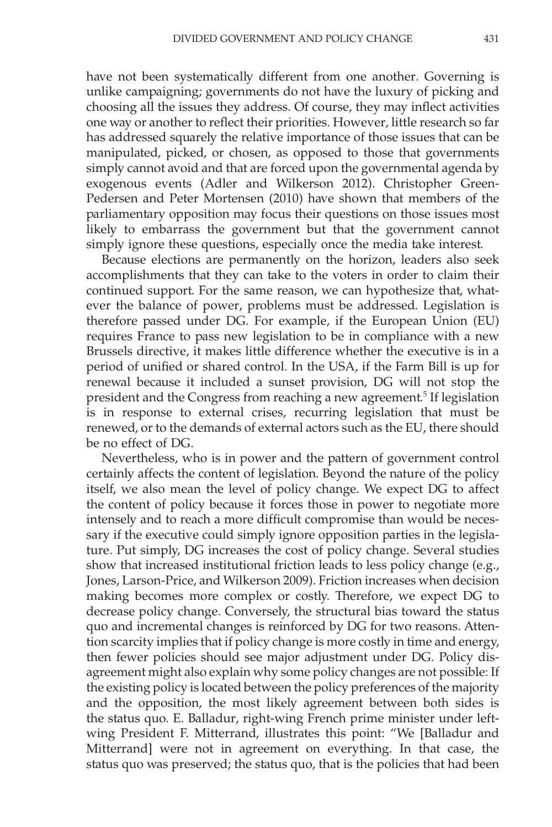have not been systematically different from one another. Governing is unlike campaigning; governments do not have the luxury of picking and choosing all the issues they address. Of course, they may inflect activities one way or another to reflect their priorities. However, little research so far has addressed squarely the relative importance of those issues that can be manipulated, picked, or chosen, as opposed to those that governments simply cannot avoid and that are forced upon the governmental agenda by exogenous events (Adler and Wilkerson 2012). Christopher Green-Pedersen and Peter Mortensen (2010) have shown that members of the parliamentary opposition may focus their questions on those issues most likely to embarrass the government but that the government cannot simply ignore these questions, especially once the media take interest.

Because elections are permanently on the horizon, leaders also seek accomplishments that they can take to the voters in order to claim their continued support. For the same reason, we can hypothesize that, whatever the balance of power, problems must be addressed. Legislation is therefore passed under DG. For example, if the European Union (EU) requires France to pass new legislation to be in compliance with a new Brussels directive, it makes little difference whether the executive is in a period of unified or shared control. In the USA, if the Farm Bill is up for renewal because it included a sunset provision, DG will not stop the president and the Congress from reaching a new agreement.<sup>5</sup> If legislation is in response to external crises, recurring legislation that must be renewed, or to the demands of external actors such as the EU, there should be no effect of DG.

Nevertheless, who is in power and the pattern of government control certainly affects the content of legislation. Beyond the nature of the policy itself, we also mean the level of policy change. We expect DG to affect the content of policy because it forces those in power to negotiate more intensely and to reach a more difficult compromise than would be necessary if the executive could simply ignore opposition parties in the legislature. Put simply, DG increases the cost of policy change. Several studies show that increased institutional friction leads to less policy change (e.g., Jones, Larson-Price, and Wilkerson 2009). Friction increases when decision making becomes more complex or costly. Therefore, we expect DG to decrease policy change. Conversely, the structural bias toward the status quo and incremental changes is reinforced by DG for two reasons. Attention scarcity implies that if policy change is more costly in time and energy, then fewer policies should see major adjustment under DG. Policy disagreement might also explain why some policy changes are not possible: If the existing policy is located between the policy preferences of the majority and the opposition, the most likely agreement between both sides is the status quo. E. Balladur, right-wing French prime minister under leftwing President F. Mitterrand, illustrates this point: "We [Balladur and Mitterrand] were not in agreement on everything. In that case, the status quo was preserved; the status quo, that is the policies that had been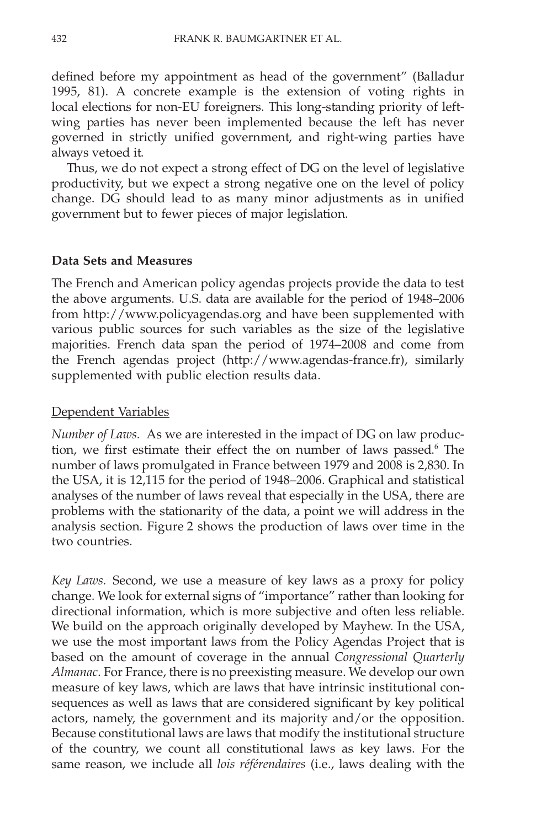defined before my appointment as head of the government" (Balladur 1995, 81). A concrete example is the extension of voting rights in local elections for non-EU foreigners. This long-standing priority of leftwing parties has never been implemented because the left has never governed in strictly unified government, and right-wing parties have always vetoed it.

Thus, we do not expect a strong effect of DG on the level of legislative productivity, but we expect a strong negative one on the level of policy change. DG should lead to as many minor adjustments as in unified government but to fewer pieces of major legislation.

# **Data Sets and Measures**

The French and American policy agendas projects provide the data to test the above arguments. U.S. data are available for the period of 1948–2006 from http://www.policyagendas.org and have been supplemented with various public sources for such variables as the size of the legislative majorities. French data span the period of 1974–2008 and come from the French agendas project (http://www.agendas-france.fr), similarly supplemented with public election results data.

## Dependent Variables

*Number of Laws.* As we are interested in the impact of DG on law production, we first estimate their effect the on number of laws passed.<sup>6</sup> The number of laws promulgated in France between 1979 and 2008 is 2,830. In the USA, it is 12,115 for the period of 1948–2006. Graphical and statistical analyses of the number of laws reveal that especially in the USA, there are problems with the stationarity of the data, a point we will address in the analysis section. Figure 2 shows the production of laws over time in the two countries.

*Key Laws.* Second, we use a measure of key laws as a proxy for policy change. We look for external signs of "importance" rather than looking for directional information, which is more subjective and often less reliable. We build on the approach originally developed by Mayhew. In the USA, we use the most important laws from the Policy Agendas Project that is based on the amount of coverage in the annual *Congressional Quarterly Almanac*. For France, there is no preexisting measure. We develop our own measure of key laws, which are laws that have intrinsic institutional consequences as well as laws that are considered significant by key political actors, namely, the government and its majority and/or the opposition. Because constitutional laws are laws that modify the institutional structure of the country, we count all constitutional laws as key laws. For the same reason, we include all *lois référendaires* (i.e., laws dealing with the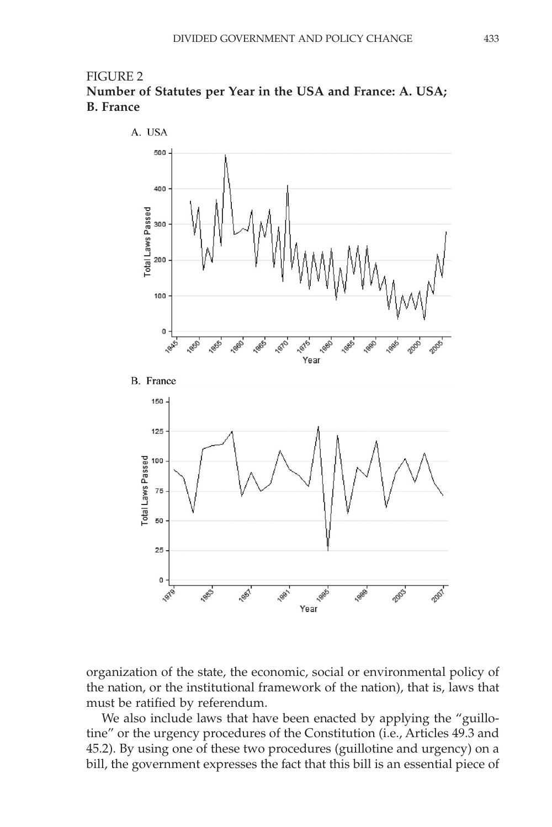



organization of the state, the economic, social or environmental policy of the nation, or the institutional framework of the nation), that is, laws that must be ratified by referendum.

We also include laws that have been enacted by applying the "guillotine" or the urgency procedures of the Constitution (i.e., Articles 49.3 and 45.2). By using one of these two procedures (guillotine and urgency) on a bill, the government expresses the fact that this bill is an essential piece of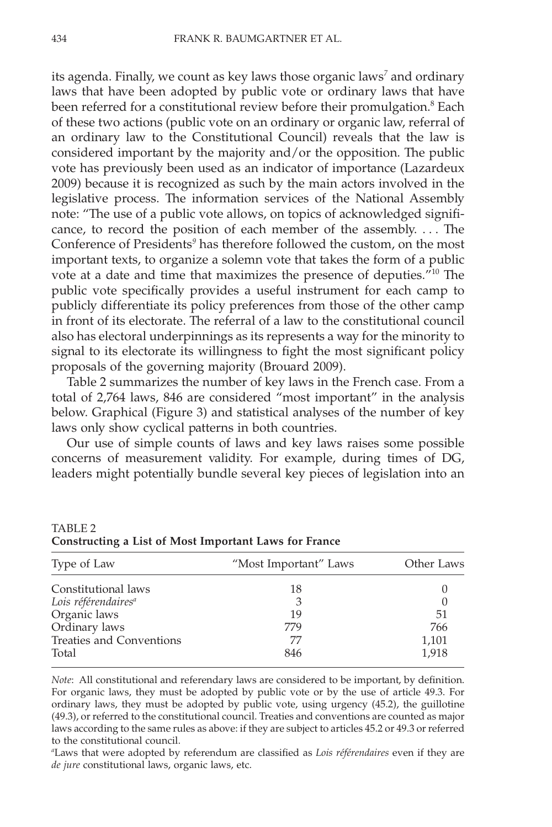its agenda. Finally, we count as key laws those organic laws*<sup>7</sup>* and ordinary laws that have been adopted by public vote or ordinary laws that have been referred for a constitutional review before their promulgation.<sup>8</sup> Each of these two actions (public vote on an ordinary or organic law, referral of an ordinary law to the Constitutional Council) reveals that the law is considered important by the majority and/or the opposition. The public vote has previously been used as an indicator of importance (Lazardeux 2009) because it is recognized as such by the main actors involved in the legislative process. The information services of the National Assembly note: "The use of a public vote allows, on topics of acknowledged significance, to record the position of each member of the assembly. . . . The Conference of Presidents*<sup>9</sup>* has therefore followed the custom, on the most important texts, to organize a solemn vote that takes the form of a public vote at a date and time that maximizes the presence of deputies."10 The public vote specifically provides a useful instrument for each camp to publicly differentiate its policy preferences from those of the other camp in front of its electorate. The referral of a law to the constitutional council also has electoral underpinnings as its represents a way for the minority to signal to its electorate its willingness to fight the most significant policy proposals of the governing majority (Brouard 2009).

Table 2 summarizes the number of key laws in the French case. From a total of 2,764 laws, 846 are considered "most important" in the analysis below. Graphical (Figure 3) and statistical analyses of the number of key laws only show cyclical patterns in both countries.

Our use of simple counts of laws and key laws raises some possible concerns of measurement validity. For example, during times of DG, leaders might potentially bundle several key pieces of legislation into an

| Type of Law                     | "Most Important" Laws | Other Laws |
|---------------------------------|-----------------------|------------|
| Constitutional laws             | 18                    |            |
| Lois référendaires <sup>a</sup> | 3                     |            |
| Organic laws                    | 19                    | 51         |
| Ordinary laws                   | 779                   | 766        |
| Treaties and Conventions        | 77                    | 1,101      |
| Total                           | 846                   | 1,918      |

TABLE 2 **Constructing a List of Most Important Laws for France**

*Note*: All constitutional and referendary laws are considered to be important, by definition. For organic laws, they must be adopted by public vote or by the use of article 49.3. For ordinary laws, they must be adopted by public vote, using urgency (45.2), the guillotine (49.3), or referred to the constitutional council. Treaties and conventions are counted as major laws according to the same rules as above: if they are subject to articles 45.2 or 49.3 or referred to the constitutional council.

*a* Laws that were adopted by referendum are classified as *Lois référendaires* even if they are *de jure* constitutional laws, organic laws, etc.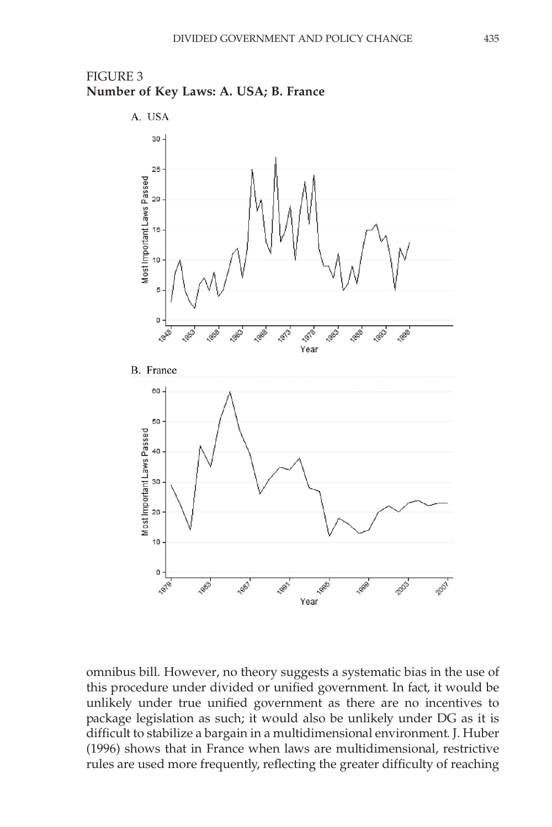



omnibus bill. However, no theory suggests a systematic bias in the use of this procedure under divided or unified government. In fact, it would be unlikely under true unified government as there are no incentives to package legislation as such; it would also be unlikely under DG as it is difficult to stabilize a bargain in a multidimensional environment. J. Huber (1996) shows that in France when laws are multidimensional, restrictive rules are used more frequently, reflecting the greater difficulty of reaching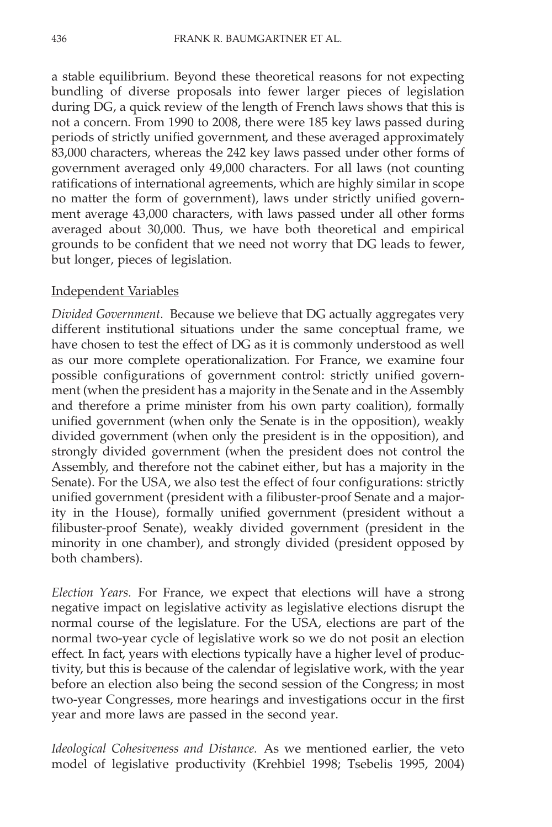a stable equilibrium. Beyond these theoretical reasons for not expecting bundling of diverse proposals into fewer larger pieces of legislation during DG, a quick review of the length of French laws shows that this is not a concern. From 1990 to 2008, there were 185 key laws passed during periods of strictly unified government, and these averaged approximately 83,000 characters, whereas the 242 key laws passed under other forms of government averaged only 49,000 characters. For all laws (not counting ratifications of international agreements, which are highly similar in scope no matter the form of government), laws under strictly unified government average 43,000 characters, with laws passed under all other forms averaged about 30,000. Thus, we have both theoretical and empirical grounds to be confident that we need not worry that DG leads to fewer, but longer, pieces of legislation.

# Independent Variables

*Divided Government.* Because we believe that DG actually aggregates very different institutional situations under the same conceptual frame, we have chosen to test the effect of DG as it is commonly understood as well as our more complete operationalization. For France, we examine four possible configurations of government control: strictly unified government (when the president has a majority in the Senate and in the Assembly and therefore a prime minister from his own party coalition), formally unified government (when only the Senate is in the opposition), weakly divided government (when only the president is in the opposition), and strongly divided government (when the president does not control the Assembly, and therefore not the cabinet either, but has a majority in the Senate). For the USA, we also test the effect of four configurations: strictly unified government (president with a filibuster-proof Senate and a majority in the House), formally unified government (president without a filibuster-proof Senate), weakly divided government (president in the minority in one chamber), and strongly divided (president opposed by both chambers).

*Election Years.* For France, we expect that elections will have a strong negative impact on legislative activity as legislative elections disrupt the normal course of the legislature. For the USA, elections are part of the normal two-year cycle of legislative work so we do not posit an election effect. In fact, years with elections typically have a higher level of productivity, but this is because of the calendar of legislative work, with the year before an election also being the second session of the Congress; in most two-year Congresses, more hearings and investigations occur in the first year and more laws are passed in the second year.

*Ideological Cohesiveness and Distance.* As we mentioned earlier, the veto model of legislative productivity (Krehbiel 1998; Tsebelis 1995, 2004)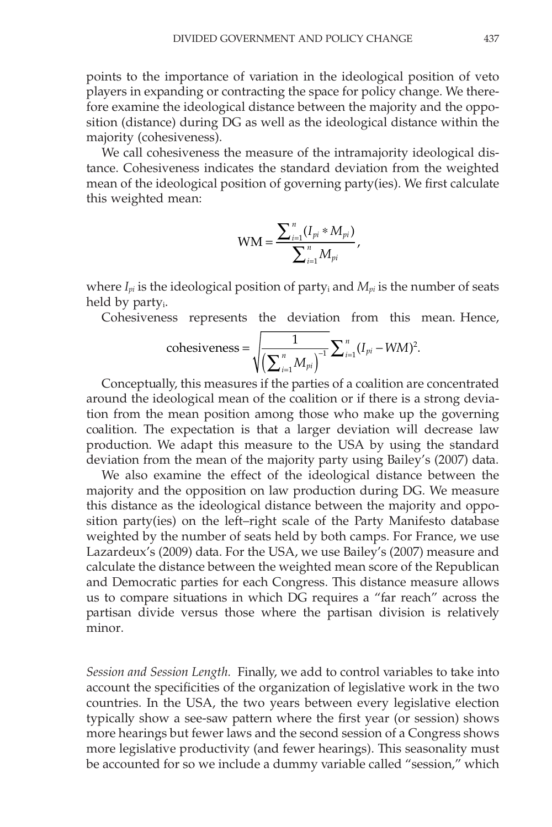points to the importance of variation in the ideological position of veto players in expanding or contracting the space for policy change. We therefore examine the ideological distance between the majority and the opposition (distance) during DG as well as the ideological distance within the majority (cohesiveness).

We call cohesiveness the measure of the intramajority ideological distance. Cohesiveness indicates the standard deviation from the weighted mean of the ideological position of governing party(ies). We first calculate this weighted mean:

$$
WM = \frac{\sum_{i=1}^{n} (I_{pi} * M_{pi})}{\sum_{i=1}^{n} M_{pi}},
$$

where *Ipi* is the ideological position of partyi and *Mpi* is the number of seats held by partyi.

Cohesiveness represents the deviation from this mean. Hence,

$$
\text{cohesiveness} = \sqrt{\frac{1}{\left(\sum_{i=1}^{n} M_{pi}\right)^{-1}} \sum_{i=1}^{n} (I_{pi} - WM)^{2}}.
$$

Conceptually, this measures if the parties of a coalition are concentrated around the ideological mean of the coalition or if there is a strong deviation from the mean position among those who make up the governing coalition. The expectation is that a larger deviation will decrease law production. We adapt this measure to the USA by using the standard deviation from the mean of the majority party using Bailey's (2007) data.

We also examine the effect of the ideological distance between the majority and the opposition on law production during DG. We measure this distance as the ideological distance between the majority and opposition party(ies) on the left–right scale of the Party Manifesto database weighted by the number of seats held by both camps. For France, we use Lazardeux's (2009) data. For the USA, we use Bailey's (2007) measure and calculate the distance between the weighted mean score of the Republican and Democratic parties for each Congress. This distance measure allows us to compare situations in which DG requires a "far reach" across the partisan divide versus those where the partisan division is relatively minor.

*Session and Session Length.* Finally, we add to control variables to take into account the specificities of the organization of legislative work in the two countries. In the USA, the two years between every legislative election typically show a see-saw pattern where the first year (or session) shows more hearings but fewer laws and the second session of a Congress shows more legislative productivity (and fewer hearings). This seasonality must be accounted for so we include a dummy variable called "session," which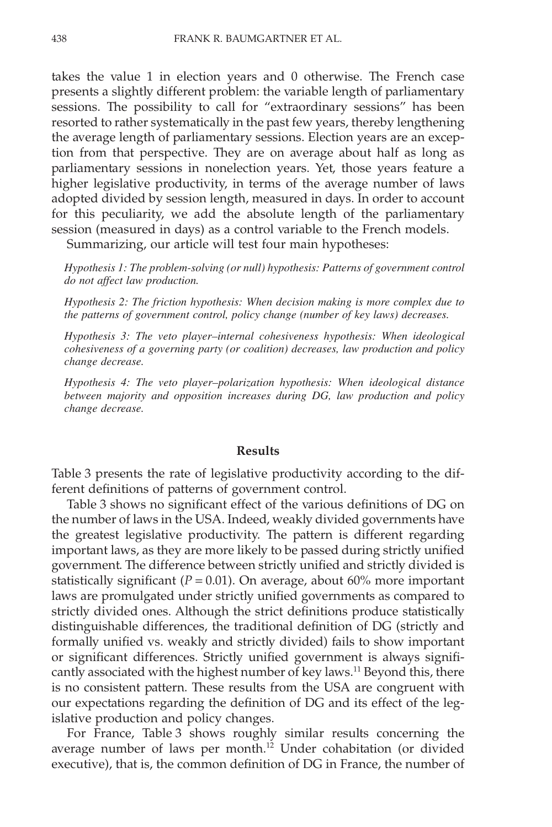takes the value 1 in election years and 0 otherwise. The French case presents a slightly different problem: the variable length of parliamentary sessions. The possibility to call for "extraordinary sessions" has been resorted to rather systematically in the past few years, thereby lengthening the average length of parliamentary sessions. Election years are an exception from that perspective. They are on average about half as long as parliamentary sessions in nonelection years. Yet, those years feature a higher legislative productivity, in terms of the average number of laws adopted divided by session length, measured in days. In order to account for this peculiarity, we add the absolute length of the parliamentary session (measured in days) as a control variable to the French models.

Summarizing, our article will test four main hypotheses:

*Hypothesis 1: The problem-solving (or null) hypothesis: Patterns of government control do not affect law production.*

*Hypothesis 2: The friction hypothesis: When decision making is more complex due to the patterns of government control, policy change (number of key laws) decreases.*

*Hypothesis 3: The veto player–internal cohesiveness hypothesis: When ideological cohesiveness of a governing party (or coalition) decreases, law production and policy change decrease.*

*Hypothesis 4: The veto player–polarization hypothesis: When ideological distance between majority and opposition increases during DG, law production and policy change decrease.*

#### **Results**

Table 3 presents the rate of legislative productivity according to the different definitions of patterns of government control.

Table 3 shows no significant effect of the various definitions of DG on the number of laws in the USA. Indeed, weakly divided governments have the greatest legislative productivity. The pattern is different regarding important laws, as they are more likely to be passed during strictly unified government. The difference between strictly unified and strictly divided is statistically significant  $(P = 0.01)$ . On average, about 60% more important laws are promulgated under strictly unified governments as compared to strictly divided ones. Although the strict definitions produce statistically distinguishable differences, the traditional definition of DG (strictly and formally unified vs. weakly and strictly divided) fails to show important or significant differences. Strictly unified government is always significantly associated with the highest number of key laws.<sup>11</sup> Beyond this, there is no consistent pattern. These results from the USA are congruent with our expectations regarding the definition of DG and its effect of the legislative production and policy changes.

For France, Table 3 shows roughly similar results concerning the average number of laws per month.<sup>12</sup> Under cohabitation (or divided executive), that is, the common definition of DG in France, the number of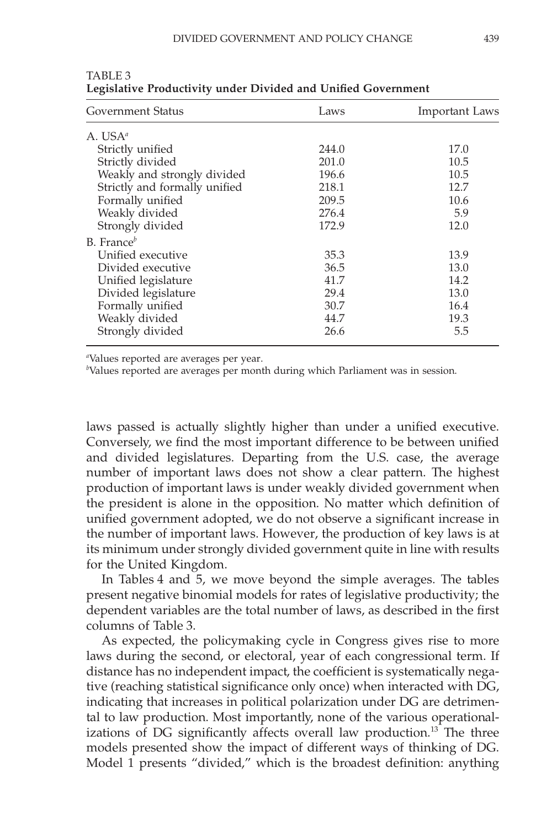| Government Status             | Laws  | <b>Important Laws</b> |
|-------------------------------|-------|-----------------------|
| A. USA <sup>a</sup>           |       |                       |
| Strictly unified              | 244.0 | 17.0                  |
| Strictly divided              | 201.0 | 10.5                  |
| Weakly and strongly divided   | 196.6 | 10.5                  |
| Strictly and formally unified | 218.1 | 12.7                  |
| Formally unified              | 209.5 | 10.6                  |
| Weakly divided                | 276.4 | 5.9                   |
| Strongly divided              | 172.9 | 12.0                  |
| $B.$ France <sup>b</sup>      |       |                       |
| Unified executive             | 35.3  | 13.9                  |
| Divided executive             | 36.5  | 13.0                  |
| Unified legislature           | 41.7  | 14.2                  |
| Divided legislature           | 29.4  | 13.0                  |
| Formally unified              | 30.7  | 16.4                  |
| Weakly divided                | 44.7  | 19.3                  |
| Strongly divided              | 26.6  | 5.5                   |

TABLE 3 **Legislative Productivity under Divided and Unified Government**

*a* Values reported are averages per year.

*b* Values reported are averages per month during which Parliament was in session.

laws passed is actually slightly higher than under a unified executive. Conversely, we find the most important difference to be between unified and divided legislatures. Departing from the U.S. case, the average number of important laws does not show a clear pattern. The highest production of important laws is under weakly divided government when the president is alone in the opposition. No matter which definition of unified government adopted, we do not observe a significant increase in the number of important laws. However, the production of key laws is at its minimum under strongly divided government quite in line with results for the United Kingdom.

In Tables 4 and 5, we move beyond the simple averages. The tables present negative binomial models for rates of legislative productivity; the dependent variables are the total number of laws, as described in the first columns of Table 3.

As expected, the policymaking cycle in Congress gives rise to more laws during the second, or electoral, year of each congressional term. If distance has no independent impact, the coefficient is systematically negative (reaching statistical significance only once) when interacted with DG, indicating that increases in political polarization under DG are detrimental to law production. Most importantly, none of the various operationalizations of DG significantly affects overall law production.<sup>13</sup> The three models presented show the impact of different ways of thinking of DG. Model 1 presents "divided," which is the broadest definition: anything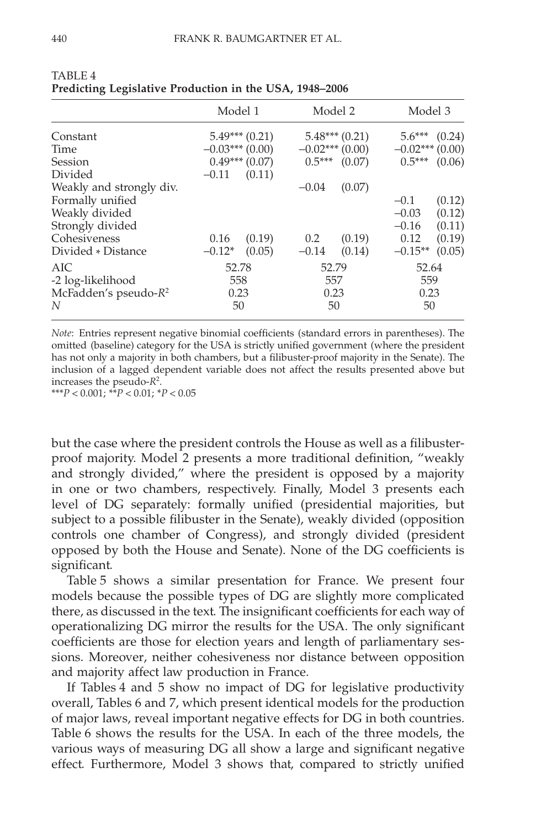|                          | Model 1          |                 | Model 2            |        | Model 3           |        |
|--------------------------|------------------|-----------------|--------------------|--------|-------------------|--------|
| Constant                 |                  | $5.49***(0.21)$ | $5.48***(0.21)$    |        | $5.6***$ $(0.24)$ |        |
| <b>Time</b>              | $-0.03***(0.00)$ |                 | $-0.02$ *** (0.00) |        | $-0.02***(0.00)$  |        |
| Session                  |                  | $0.49***(0.07)$ | $0.5***$           | (0.07) | $0.5***$          | (0.06) |
| Divided                  | $-0.11$          | (0.11)          |                    |        |                   |        |
| Weakly and strongly div. |                  |                 | $-0.04$            | (0.07) |                   |        |
| Formally unified         |                  |                 |                    |        | $-0.1$            | (0.12) |
| Weakly divided           |                  |                 |                    |        | $-0.03$           | (0.12) |
| Strongly divided         |                  |                 |                    |        | $-0.16$           | (0.11) |
| Cohesiveness             | 0.16             | (0.19)          | $0.2^{\circ}$      | (0.19) | 0.12              | (0.19) |
| Divided * Distance       | $-0.12*$         | (0.05)          | $-0.14$            | (0.14) | $-0.15**$         | (0.05) |
| AIC.                     | 52.78            |                 | 52.79              |        | 52.64             |        |
| -2 log-likelihood        | 558              |                 | 557                |        | 559               |        |
| McFadden's pseudo- $R^2$ | 0.23             |                 | 0.23               |        | 0.23              |        |
| N                        | 50               |                 | 50                 |        | 50                |        |

| TABLE 4 |                                                         |  |  |  |
|---------|---------------------------------------------------------|--|--|--|
|         | Predicting Legislative Production in the USA, 1948-2006 |  |  |  |

*Note*: Entries represent negative binomial coefficients (standard errors in parentheses). The omitted (baseline) category for the USA is strictly unified government (where the president has not only a majority in both chambers, but a filibuster-proof majority in the Senate). The inclusion of a lagged dependent variable does not affect the results presented above but increases the pseudo-*R*<sup>2</sup> .

\*\*\**P* < 0.001; \*\**P* < 0.01; \**P* < 0.05

but the case where the president controls the House as well as a filibusterproof majority. Model 2 presents a more traditional definition, "weakly and strongly divided," where the president is opposed by a majority in one or two chambers, respectively. Finally, Model 3 presents each level of DG separately: formally unified (presidential majorities, but subject to a possible filibuster in the Senate), weakly divided (opposition controls one chamber of Congress), and strongly divided (president opposed by both the House and Senate). None of the DG coefficients is significant.

Table 5 shows a similar presentation for France. We present four models because the possible types of DG are slightly more complicated there, as discussed in the text. The insignificant coefficients for each way of operationalizing DG mirror the results for the USA. The only significant coefficients are those for election years and length of parliamentary sessions. Moreover, neither cohesiveness nor distance between opposition and majority affect law production in France.

If Tables 4 and 5 show no impact of DG for legislative productivity overall, Tables 6 and 7, which present identical models for the production of major laws, reveal important negative effects for DG in both countries. Table 6 shows the results for the USA. In each of the three models, the various ways of measuring DG all show a large and significant negative effect. Furthermore, Model 3 shows that, compared to strictly unified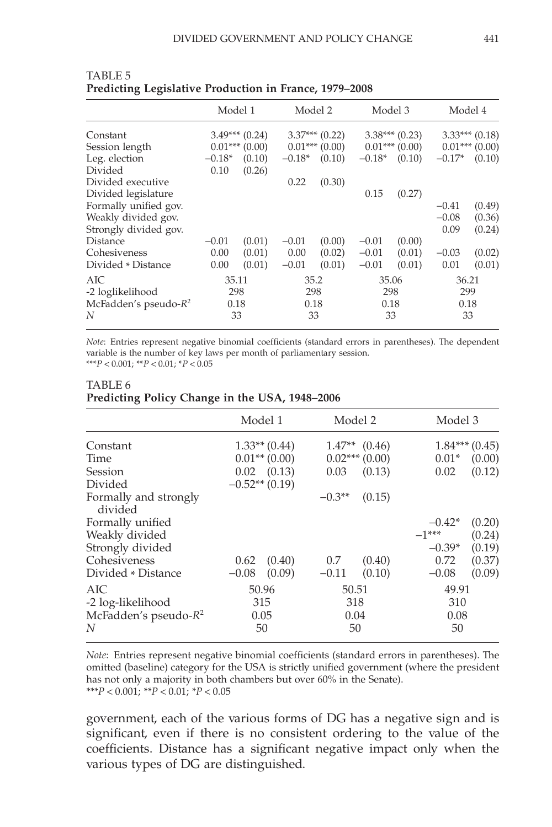|                          | Model 1  |                 |          | Model 2         |          | Model 3         | Model 4  |                 |
|--------------------------|----------|-----------------|----------|-----------------|----------|-----------------|----------|-----------------|
| Constant                 |          | $3.49***(0.24)$ |          | $3.37***(0.22)$ |          | $3.38***(0.23)$ |          | $3.33***(0.18)$ |
| Session length           |          | $0.01***(0.00)$ |          | $0.01***(0.00)$ |          | $0.01***(0.00)$ |          | $0.01***(0.00)$ |
| Leg. election            | $-0.18*$ | (0.10)          | $-0.18*$ | (0.10)          | $-0.18*$ | (0.10)          | $-0.17*$ | (0.10)          |
| Divided                  | 0.10     | (0.26)          |          |                 |          |                 |          |                 |
| Divided executive        |          |                 | 0.22     | (0.30)          |          |                 |          |                 |
| Divided legislature      |          |                 |          |                 | 0.15     | (0.27)          |          |                 |
| Formally unified gov.    |          |                 |          |                 |          |                 | $-0.41$  | (0.49)          |
| Weakly divided gov.      |          |                 |          |                 |          |                 | $-0.08$  | (0.36)          |
| Strongly divided gov.    |          |                 |          |                 |          |                 | 0.09     | (0.24)          |
| <b>Distance</b>          | $-0.01$  | (0.01)          | $-0.01$  | (0.00)          | $-0.01$  | (0.00)          |          |                 |
| Cohesiveness             | 0.00     | (0.01)          | 0.00     | (0.02)          | $-0.01$  | (0.01)          | $-0.03$  | (0.02)          |
| Divided * Distance       | 0.00     | (0.01)          | $-0.01$  | (0.01)          | $-0.01$  | (0.01)          | 0.01     | (0.01)          |
| AIC.                     | 35.11    |                 |          | 35.2            |          | 35.06           | 36.21    |                 |
| -2 loglikelihood         |          | 298             |          | 298             |          | 298             | 299      |                 |
| McFadden's pseudo- $R^2$ | 0.18     |                 |          | 0.18            |          | 0.18            | 0.18     |                 |
| N                        |          | 33              |          | 33              |          | 33              | 33       |                 |

TABLE 5 **Predicting Legislative Production in France, 1979–2008**

*Note*: Entries represent negative binomial coefficients (standard errors in parentheses). The dependent variable is the number of key laws per month of parliamentary session. \*\*\**P* < 0.001; \*\**P* < 0.01; \**P* < 0.05

# TABLE 6 **Predicting Policy Change in the USA, 1948–2006**

|                                  |         | Model 1          | Model 2  |                   | Model 3         |        |
|----------------------------------|---------|------------------|----------|-------------------|-----------------|--------|
| Constant                         |         | $1.33**$ (0.44)  |          | $1.47**$ $(0.46)$ | $1.84***(0.45)$ |        |
| Time                             |         | $0.01**$ (0.00)  |          | $0.02***(0.00)$   | $0.01*$         | (0.00) |
| Session                          |         | $0.02$ $(0.13)$  | 0.03     | (0.13)            | 0.02            | (0.12) |
| Divided                          |         | $-0.52**$ (0.19) |          |                   |                 |        |
| Formally and strongly<br>divided |         |                  | $-0.3**$ | (0.15)            |                 |        |
| Formally unified                 |         |                  |          |                   | $-0.42*$        | (0.20) |
| Weakly divided                   |         |                  |          |                   | $-1***$         | (0.24) |
| Strongly divided                 |         |                  |          |                   | $-0.39*$        | (0.19) |
| Cohesiveness                     | 0.62    | (0.40)           | 0.7      | (0.40)            | 0.72            | (0.37) |
| Divided * Distance               | $-0.08$ | (0.09)           | $-0.11$  | (0.10)            | $-0.08$         | (0.09) |
| AIC.                             |         | 50.96            | 50.51    |                   | 49.91           |        |
| -2 log-likelihood                |         | 315              | 318      |                   | 310             |        |
| McFadden's pseudo- $R^2$         |         | 0.05             | 0.04     |                   | 0.08            |        |
| N                                |         | 50               | 50       |                   | 50              |        |

*Note*: Entries represent negative binomial coefficients (standard errors in parentheses). The omitted (baseline) category for the USA is strictly unified government (where the president has not only a majority in both chambers but over 60% in the Senate). \*\*\**P* < 0.001; \*\**P* < 0.01; \**P* < 0.05

government, each of the various forms of DG has a negative sign and is significant, even if there is no consistent ordering to the value of the coefficients. Distance has a significant negative impact only when the various types of DG are distinguished.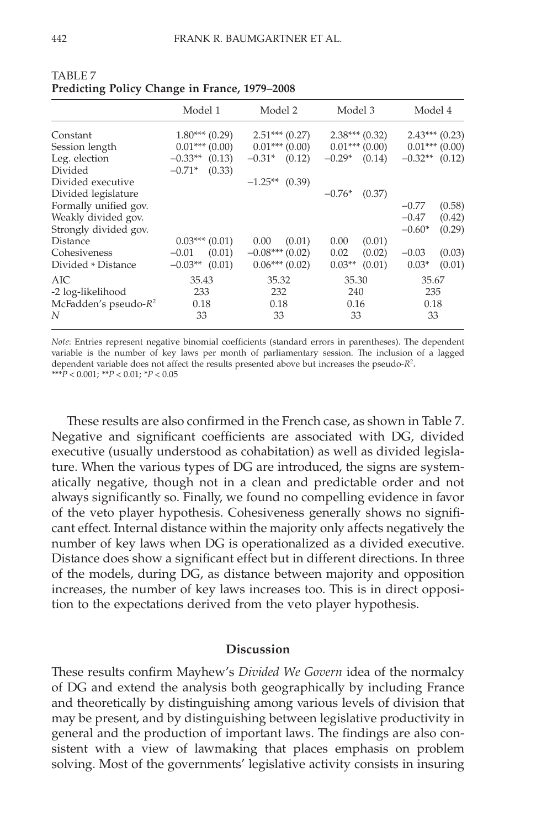|                          | Model 1             | Model 2            | Model 3            | Model 4             |  |
|--------------------------|---------------------|--------------------|--------------------|---------------------|--|
| Constant                 | $1.80***(0.29)$     | $2.51***(0.27)$    | $2.38***(0.32)$    | $2.43***(0.23)$     |  |
| Session length           | $0.01***(0.00)$     | $0.01***(0.00)$    | $0.01***(0.00)$    | $0.01***(0.00)$     |  |
| Leg. election            | (0.13)<br>$-0.33**$ | $-0.31*$<br>(0.12) | (0.14)<br>$-0.29*$ | $-0.32**$<br>(0.12) |  |
| Divided                  | $-0.71*$<br>(0.33)  |                    |                    |                     |  |
| Divided executive        |                     | $-1.25**$ (0.39)   |                    |                     |  |
| Divided legislature      |                     |                    | $-0.76*$<br>(0.37) |                     |  |
| Formally unified gov.    |                     |                    |                    | (0.58)<br>$-0.77$   |  |
| Weakly divided gov.      |                     |                    |                    | (0.42)<br>$-0.47$   |  |
| Strongly divided gov.    |                     |                    |                    | (0.29)<br>$-0.60*$  |  |
| <b>Distance</b>          | $0.03***(0.01)$     | (0.01)<br>0.00     | 0.00<br>(0.01)     |                     |  |
| Cohesiveness             | (0.01)<br>$-0.01$   | $-0.08***$ (0.02)  | 0.02<br>(0.02)     | (0.03)<br>$-0.03$   |  |
| Divided * Distance       | $-0.03**$<br>(0.01) | $0.06***(0.02)$    | $0.03**$<br>(0.01) | $0.03*$<br>(0.01)   |  |
| AIC.                     | 35.43               | 35.32              | 35.30              | 35.67               |  |
| -2 log-likelihood        | 233                 | 232                | 240                | 235                 |  |
| McFadden's pseudo- $R^2$ | 0.18                | 0.18               | 0.16               | 0.18                |  |
| N                        | 33                  | 33                 | 33                 | 33                  |  |

| TABLE 7                                       |  |  |  |
|-----------------------------------------------|--|--|--|
| Predicting Policy Change in France, 1979–2008 |  |  |  |

*Note*: Entries represent negative binomial coefficients (standard errors in parentheses). The dependent variable is the number of key laws per month of parliamentary session. The inclusion of a lagged dependent variable does not affect the results presented above but increases the pseudo-*R*<sup>2</sup> . \*\*\**P* < 0.001; \*\**P* < 0.01; \**P* < 0.05

These results are also confirmed in the French case, as shown in Table 7. Negative and significant coefficients are associated with DG, divided executive (usually understood as cohabitation) as well as divided legislature. When the various types of DG are introduced, the signs are systematically negative, though not in a clean and predictable order and not always significantly so. Finally, we found no compelling evidence in favor of the veto player hypothesis. Cohesiveness generally shows no significant effect. Internal distance within the majority only affects negatively the number of key laws when DG is operationalized as a divided executive. Distance does show a significant effect but in different directions. In three of the models, during DG, as distance between majority and opposition increases, the number of key laws increases too. This is in direct opposition to the expectations derived from the veto player hypothesis.

## **Discussion**

These results confirm Mayhew's *Divided We Govern* idea of the normalcy of DG and extend the analysis both geographically by including France and theoretically by distinguishing among various levels of division that may be present, and by distinguishing between legislative productivity in general and the production of important laws. The findings are also consistent with a view of lawmaking that places emphasis on problem solving. Most of the governments' legislative activity consists in insuring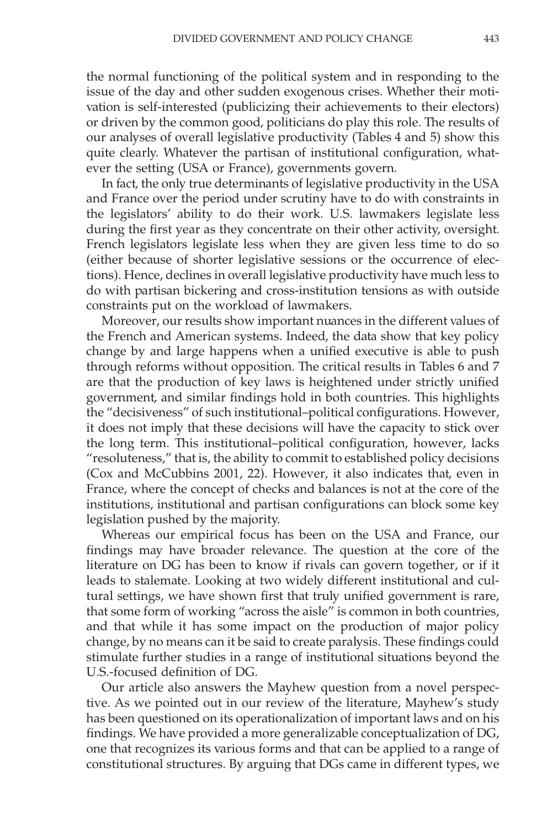the normal functioning of the political system and in responding to the issue of the day and other sudden exogenous crises. Whether their motivation is self-interested (publicizing their achievements to their electors) or driven by the common good, politicians do play this role. The results of our analyses of overall legislative productivity (Tables 4 and 5) show this quite clearly. Whatever the partisan of institutional configuration, whatever the setting (USA or France), governments govern.

In fact, the only true determinants of legislative productivity in the USA and France over the period under scrutiny have to do with constraints in the legislators' ability to do their work. U.S. lawmakers legislate less during the first year as they concentrate on their other activity, oversight. French legislators legislate less when they are given less time to do so (either because of shorter legislative sessions or the occurrence of elections). Hence, declines in overall legislative productivity have much less to do with partisan bickering and cross-institution tensions as with outside constraints put on the workload of lawmakers.

Moreover, our results show important nuances in the different values of the French and American systems. Indeed, the data show that key policy change by and large happens when a unified executive is able to push through reforms without opposition. The critical results in Tables 6 and 7 are that the production of key laws is heightened under strictly unified government, and similar findings hold in both countries. This highlights the "decisiveness" of such institutional–political configurations. However, it does not imply that these decisions will have the capacity to stick over the long term. This institutional–political configuration, however, lacks "resoluteness," that is, the ability to commit to established policy decisions (Cox and McCubbins 2001, 22). However, it also indicates that, even in France, where the concept of checks and balances is not at the core of the institutions, institutional and partisan configurations can block some key legislation pushed by the majority.

Whereas our empirical focus has been on the USA and France, our findings may have broader relevance. The question at the core of the literature on DG has been to know if rivals can govern together, or if it leads to stalemate. Looking at two widely different institutional and cultural settings, we have shown first that truly unified government is rare, that some form of working "across the aisle" is common in both countries, and that while it has some impact on the production of major policy change, by no means can it be said to create paralysis. These findings could stimulate further studies in a range of institutional situations beyond the U.S.-focused definition of DG.

Our article also answers the Mayhew question from a novel perspective. As we pointed out in our review of the literature, Mayhew's study has been questioned on its operationalization of important laws and on his findings. We have provided a more generalizable conceptualization of DG, one that recognizes its various forms and that can be applied to a range of constitutional structures. By arguing that DGs came in different types, we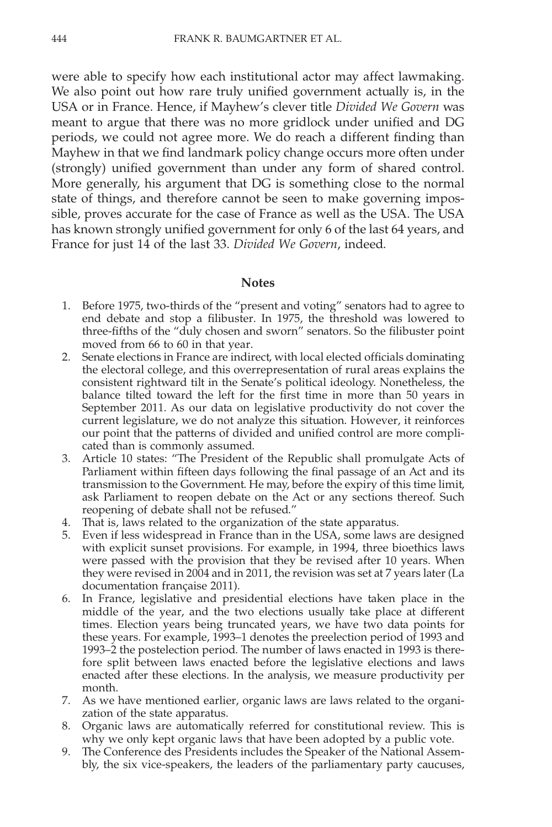were able to specify how each institutional actor may affect lawmaking. We also point out how rare truly unified government actually is, in the USA or in France. Hence, if Mayhew's clever title *Divided We Govern* was meant to argue that there was no more gridlock under unified and DG periods, we could not agree more. We do reach a different finding than Mayhew in that we find landmark policy change occurs more often under (strongly) unified government than under any form of shared control. More generally, his argument that DG is something close to the normal state of things, and therefore cannot be seen to make governing impossible, proves accurate for the case of France as well as the USA. The USA has known strongly unified government for only 6 of the last 64 years, and France for just 14 of the last 33. *Divided We Govern*, indeed.

#### **Notes**

- 1. Before 1975, two-thirds of the "present and voting" senators had to agree to end debate and stop a filibuster. In 1975, the threshold was lowered to three-fifths of the "duly chosen and sworn" senators. So the filibuster point moved from 66 to 60 in that year.
- 2. Senate elections in France are indirect, with local elected officials dominating the electoral college, and this overrepresentation of rural areas explains the consistent rightward tilt in the Senate's political ideology. Nonetheless, the balance tilted toward the left for the first time in more than 50 years in September 2011. As our data on legislative productivity do not cover the current legislature, we do not analyze this situation. However, it reinforces our point that the patterns of divided and unified control are more complicated than is commonly assumed.
- 3. Article 10 states: "The President of the Republic shall promulgate Acts of Parliament within fifteen days following the final passage of an Act and its transmission to the Government. He may, before the expiry of this time limit, ask Parliament to reopen debate on the Act or any sections thereof. Such reopening of debate shall not be refused."
- 4. That is, laws related to the organization of the state apparatus.
- 5. Even if less widespread in France than in the USA, some laws are designed with explicit sunset provisions. For example, in 1994, three bioethics laws were passed with the provision that they be revised after 10 years. When they were revised in 2004 and in 2011, the revision was set at 7 years later (La documentation française 2011).
- 6. In France, legislative and presidential elections have taken place in the middle of the year, and the two elections usually take place at different times. Election years being truncated years, we have two data points for these years. For example, 1993–1 denotes the preelection period of 1993 and 1993–2 the postelection period. The number of laws enacted in 1993 is therefore split between laws enacted before the legislative elections and laws enacted after these elections. In the analysis, we measure productivity per month.
- 7. As we have mentioned earlier, organic laws are laws related to the organization of the state apparatus.
- 8. Organic laws are automatically referred for constitutional review. This is why we only kept organic laws that have been adopted by a public vote.
- 9. The Conference des Presidents includes the Speaker of the National Assembly, the six vice-speakers, the leaders of the parliamentary party caucuses,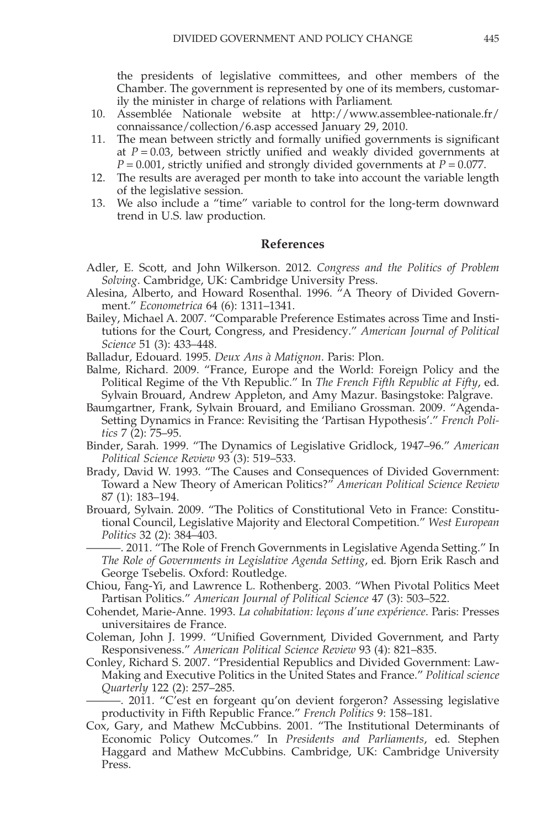the presidents of legislative committees, and other members of the Chamber. The government is represented by one of its members, customarily the minister in charge of relations with Parliament.

- 10. Assemblée Nationale website at http://www.assemblee-nationale.fr/ connaissance/collection/6.asp accessed January 29, 2010.
- 11. The mean between strictly and formally unified governments is significant at  $P = 0.03$ , between strictly unified and weakly divided governments at *P* = 0.001, strictly unified and strongly divided governments at *P* = 0.077.
- 12. The results are averaged per month to take into account the variable length of the legislative session.
- 13. We also include a "time" variable to control for the long-term downward trend in U.S. law production.

## **References**

- Adler, E. Scott, and John Wilkerson. 2012. *Congress and the Politics of Problem Solving*. Cambridge, UK: Cambridge University Press.
- Alesina, Alberto, and Howard Rosenthal. 1996. "A Theory of Divided Government." *Econometrica* 64 (6): 1311–1341.
- Bailey, Michael A. 2007. "Comparable Preference Estimates across Time and Institutions for the Court, Congress, and Presidency." *American Journal of Political Science* 51 (3): 433–448.

Balladur, Edouard. 1995. *Deux Ans à Matignon*. Paris: Plon.

- Balme, Richard. 2009. "France, Europe and the World: Foreign Policy and the Political Regime of the Vth Republic." In *The French Fifth Republic at Fifty*, ed. Sylvain Brouard, Andrew Appleton, and Amy Mazur. Basingstoke: Palgrave.
- Baumgartner, Frank, Sylvain Brouard, and Emiliano Grossman. 2009. "Agenda-Setting Dynamics in France: Revisiting the 'Partisan Hypothesis'." *French Politics* 7 (2): 75–95.
- Binder, Sarah. 1999. "The Dynamics of Legislative Gridlock, 1947–96." *American Political Science Review* 93 (3): 519–533.
- Brady, David W. 1993. "The Causes and Consequences of Divided Government: Toward a New Theory of American Politics?" *American Political Science Review* 87 (1): 183–194.
- Brouard, Sylvain. 2009. "The Politics of Constitutional Veto in France: Constitutional Council, Legislative Majority and Electoral Competition." *West European Politics* 32 (2): 384–403.
	- ———. 2011. "The Role of French Governments in Legislative Agenda Setting." In *The Role of Governments in Legislative Agenda Setting*, ed. Bjorn Erik Rasch and George Tsebelis. Oxford: Routledge.
- Chiou, Fang-Yi, and Lawrence L. Rothenberg. 2003. "When Pivotal Politics Meet Partisan Politics." *American Journal of Political Science* 47 (3): 503–522.
- Cohendet, Marie-Anne. 1993. *La cohabitation: leçons d'une expérience*. Paris: Presses universitaires de France.
- Coleman, John J. 1999. "Unified Government, Divided Government, and Party Responsiveness." *American Political Science Review* 93 (4): 821–835.
- Conley, Richard S. 2007. "Presidential Republics and Divided Government: Law-Making and Executive Politics in the United States and France." *Political science Quarterly* 122 (2): 257–285.
	- ———. 2011. "C'est en forgeant qu'on devient forgeron? Assessing legislative productivity in Fifth Republic France." *French Politics* 9: 158–181.
- Cox, Gary, and Mathew McCubbins. 2001. "The Institutional Determinants of Economic Policy Outcomes." In *Presidents and Parliaments*, ed. Stephen Haggard and Mathew McCubbins. Cambridge, UK: Cambridge University Press.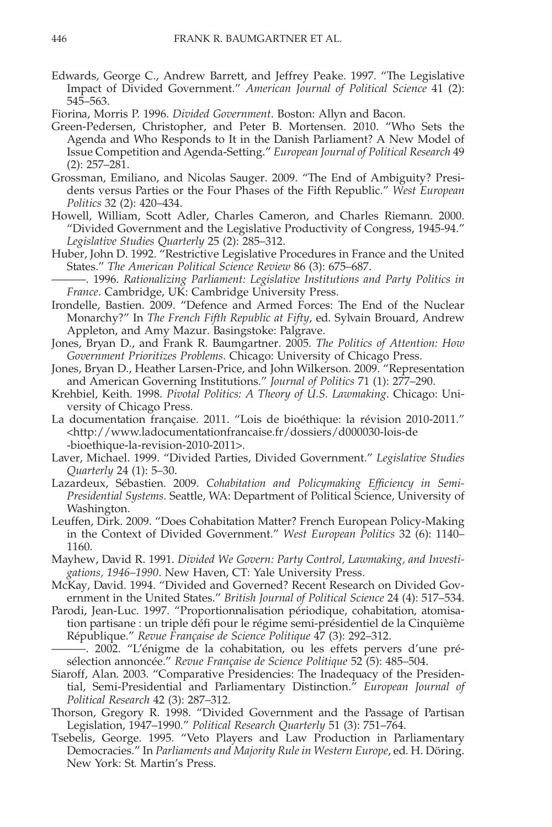- Edwards, George C., Andrew Barrett, and Jeffrey Peake. 1997. "The Legislative Impact of Divided Government." *American Journal of Political Science* 41 (2): 545–563.
- Fiorina, Morris P. 1996. *Divided Government*. Boston: Allyn and Bacon.
- Green-Pedersen, Christopher, and Peter B. Mortensen. 2010. "Who Sets the Agenda and Who Responds to It in the Danish Parliament? A New Model of Issue Competition and Agenda-Setting." *European Journal of Political Research* 49 (2): 257–281.
- Grossman, Emiliano, and Nicolas Sauger. 2009. "The End of Ambiguity? Presidents versus Parties or the Four Phases of the Fifth Republic." *West European Politics* 32 (2): 420–434.
- Howell, William, Scott Adler, Charles Cameron, and Charles Riemann. 2000. "Divided Government and the Legislative Productivity of Congress, 1945-94." *Legislative Studies Quarterly* 25 (2): 285–312.
- Huber, John D. 1992. "Restrictive Legislative Procedures in France and the United States." *The American Political Science Review* 86 (3): 675–687.
- ———. 1996. *Rationalizing Parliament: Legislative Institutions and Party Politics in France*. Cambridge, UK: Cambridge University Press.
- Irondelle, Bastien. 2009. "Defence and Armed Forces: The End of the Nuclear Monarchy?" In *The French Fifth Republic at Fifty*, ed. Sylvain Brouard, Andrew Appleton, and Amy Mazur. Basingstoke: Palgrave.
- Jones, Bryan D., and Frank R. Baumgartner. 2005. *The Politics of Attention: How Government Prioritizes Problems*. Chicago: University of Chicago Press.
- Jones, Bryan D., Heather Larsen-Price, and John Wilkerson. 2009. "Representation and American Governing Institutions." *Journal of Politics* 71 (1): 277–290.
- Krehbiel, Keith. 1998. *Pivotal Politics: A Theory of U.S. Lawmaking*. Chicago: University of Chicago Press.
- La documentation française. 2011. "Lois de bioéthique: la révision 2010-2011." <http://www.ladocumentationfrancaise.fr/dossiers/d000030-lois-de -bioethique-la-revision-2010-2011>.
- Laver, Michael. 1999. "Divided Parties, Divided Government." *Legislative Studies Quarterly* 24 (1): 5–30.
- Lazardeux, Sébastien. 2009. *Cohabitation and Policymaking Efficiency in Semi-Presidential Systems*. Seattle, WA: Department of Political Science, University of Washington.
- Leuffen, Dirk. 2009. "Does Cohabitation Matter? French European Policy-Making in the Context of Divided Government." *West European Politics* 32 (6): 1140– 1160.
- Mayhew, David R. 1991. *Divided We Govern: Party Control, Lawmaking, and Investigations, 1946–1990*. New Haven, CT: Yale University Press.
- McKay, David. 1994. "Divided and Governed? Recent Research on Divided Government in the United States." *British Journal of Political Science* 24 (4): 517–534.
- Parodi, Jean-Luc. 1997. "Proportionnalisation périodique, cohabitation, atomisation partisane : un triple défi pour le régime semi-présidentiel de la Cinquième République." *Revue Française de Science Politique* 47 (3): 292–312.
- ———. 2002. "L'énigme de la cohabitation, ou les effets pervers d'une présélection annoncée." *Revue Française de Science Politique* 52 (5): 485–504.
- Siaroff, Alan. 2003. "Comparative Presidencies: The Inadequacy of the Presidential, Semi-Presidential and Parliamentary Distinction." *European Journal of Political Research* 42 (3): 287–312.
- Thorson, Gregory R. 1998. "Divided Government and the Passage of Partisan Legislation, 1947–1990." *Political Research Quarterly* 51 (3): 751–764.
- Tsebelis, George. 1995. "Veto Players and Law Production in Parliamentary Democracies." In *Parliaments and Majority Rule in Western Europe*, ed. H. Döring. New York: St. Martin's Press.